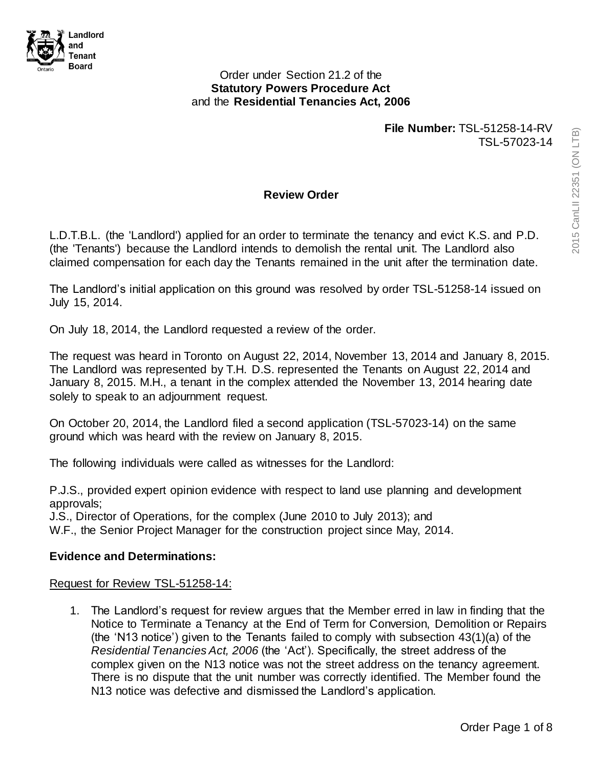

### Order under Section 21.2 of the **Statutory Powers Procedure Act**  and the **Residential Tenancies Act, 2006**

**File Number:** TSL-51258-14-RV TSL-57023-14

## **Review Order**

L.D.T.B.L. (the 'Landlord') applied for an order to terminate the tenancy and evict K.S. and P.D. (the 'Tenants') because the Landlord intends to demolish the rental unit. The Landlord also claimed compensation for each day the Tenants remained in the unit after the termination date.

The Landlord's initial application on this ground was resolved by order TSL-51258-14 issued on July 15, 2014.

On July 18, 2014, the Landlord requested a review of the order.

The request was heard in Toronto on August 22, 2014, November 13, 2014 and January 8, 2015. The Landlord was represented by T.H. D.S. represented the Tenants on August 22, 2014 and January 8, 2015. M.H., a tenant in the complex attended the November 13, 2014 hearing date solely to speak to an adjournment request.

On October 20, 2014, the Landlord filed a second application (TSL-57023-14) on the same ground which was heard with the review on January 8, 2015.

The following individuals were called as witnesses for the Landlord:

P.J.S., provided expert opinion evidence with respect to land use planning and development approvals;

J.S., Director of Operations, for the complex (June 2010 to July 2013); and W.F., the Senior Project Manager for the construction project since May, 2014.

## **Evidence and Determinations:**

#### Request for Review TSL-51258-14:

1. The Landlord's request for review argues that the Member erred in law in finding that the Notice to Terminate a Tenancy at the End of Term for Conversion, Demolition or Repairs (the 'N13 notice') given to the Tenants failed to comply with subsection 43(1)(a) of the *Residential Tenancies Act, 2006* (the 'Act'). Specifically, the street address of the complex given on the N13 notice was not the street address on the tenancy agreement. There is no dispute that the unit number was correctly identified. The Member found the N13 notice was defective and dismissed the Landlord's application.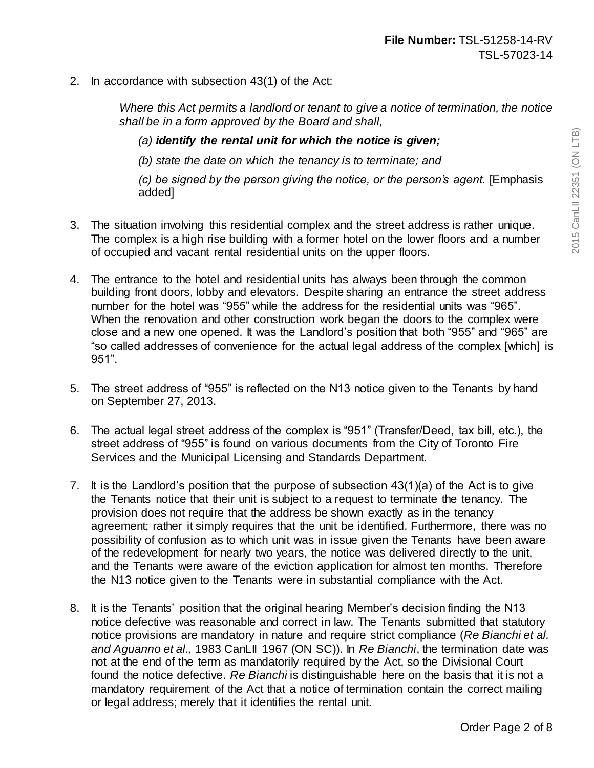2. In accordance with subsection 43(1) of the Act:

*Where this Act permits a landlord or tenant to give a notice of termination, the notice shall be in a form approved by the Board and shall,*

*(a) identify the rental unit for which the notice is given;*

*(b) state the date on which the tenancy is to terminate; and*

*(c) be signed by the person giving the notice, or the person's agent.* [Emphasis added]

- 3. The situation involving this residential complex and the street address is rather unique. The complex is a high rise building with a former hotel on the lower floors and a number of occupied and vacant rental residential units on the upper floors.
- 4. The entrance to the hotel and residential units has always been through the common building front doors, lobby and elevators. Despite sharing an entrance the street address number for the hotel was "955" while the address for the residential units was "965". When the renovation and other construction work began the doors to the complex were close and a new one opened. It was the Landlord's position that both "955" and "965" are "so called addresses of convenience for the actual legal address of the complex [which] is 951".
- 5. The street address of "955" is reflected on the N13 notice given to the Tenants by hand on September 27, 2013.
- 6. The actual legal street address of the complex is "951" (Transfer/Deed, tax bill, etc.), the street address of "955" is found on various documents from the City of Toronto Fire Services and the Municipal Licensing and Standards Department.
- 7. It is the Landlord's position that the purpose of subsection 43(1)(a) of the Act is to give the Tenants notice that their unit is subject to a request to terminate the tenancy. The provision does not require that the address be shown exactly as in the tenancy agreement; rather it simply requires that the unit be identified. Furthermore, there was no possibility of confusion as to which unit was in issue given the Tenants have been aware of the redevelopment for nearly two years, the notice was delivered directly to the unit, and the Tenants were aware of the eviction application for almost ten months. Therefore the N13 notice given to the Tenants were in substantial compliance with the Act.
- 8. It is the Tenants' position that the original hearing Member's decision finding the N13 notice defective was reasonable and correct in law. The Tenants submitted that statutory notice provisions are mandatory in nature and require strict compliance (*Re Bianchi et al. and Aguanno et al.,* 1983 CanLII 1967 (ON SC)). In *Re Bianchi*, the termination date was not at the end of the term as mandatorily required by the Act, so the Divisional Court found the notice defective. *Re Bianchi* is distinguishable here on the basis that it is not a mandatory requirement of the Act that a notice of termination contain the correct mailing or legal address; merely that it identifies the rental unit.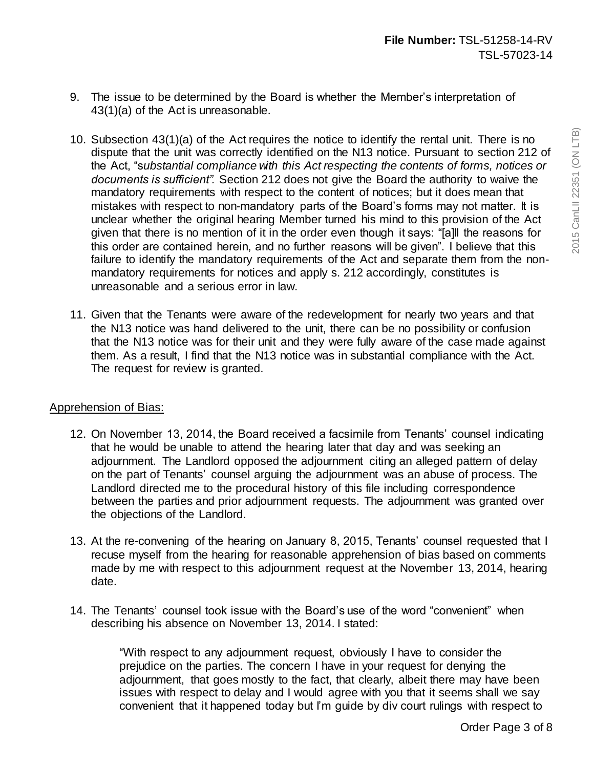- 9. The issue to be determined by the Board is whether the Member's interpretation of 43(1)(a) of the Act is unreasonable.
- 10. Subsection 43(1)(a) of the Act requires the notice to identify the rental unit. There is no dispute that the unit was correctly identified on the N13 notice. Pursuant to section 212 of the Act, "s*ubstantial compliance with this Act respecting the contents of forms, notices or documents is sufficient".* Section 212 does not give the Board the authority to waive the mandatory requirements with respect to the content of notices; but it does mean that mistakes with respect to non-mandatory parts of the Board's forms may not matter. It is unclear whether the original hearing Member turned his mind to this provision of the Act given that there is no mention of it in the order even though it says: "[a]ll the reasons for this order are contained herein, and no further reasons will be given". I believe that this failure to identify the mandatory requirements of the Act and separate them from the nonmandatory requirements for notices and apply s. 212 accordingly, constitutes is unreasonable and a serious error in law.
- 11. Given that the Tenants were aware of the redevelopment for nearly two years and that the N13 notice was hand delivered to the unit, there can be no possibility or confusion that the N13 notice was for their unit and they were fully aware of the case made against them. As a result, I find that the N13 notice was in substantial compliance with the Act. The request for review is granted.

# Apprehension of Bias:

- 12. On November 13, 2014, the Board received a facsimile from Tenants' counsel indicating that he would be unable to attend the hearing later that day and was seeking an adjournment. The Landlord opposed the adjournment citing an alleged pattern of delay on the part of Tenants' counsel arguing the adjournment was an abuse of process. The Landlord directed me to the procedural history of this file including correspondence between the parties and prior adjournment requests. The adjournment was granted over the objections of the Landlord.
- 13. At the re-convening of the hearing on January 8, 2015, Tenants' counsel requested that I recuse myself from the hearing for reasonable apprehension of bias based on comments made by me with respect to this adjournment request at the November 13, 2014, hearing date.
- 14. The Tenants' counsel took issue with the Board's use of the word "convenient" when describing his absence on November 13, 2014. I stated:

"With respect to any adjournment request, obviously I have to consider the prejudice on the parties. The concern I have in your request for denying the adjournment, that goes mostly to the fact, that clearly, albeit there may have been issues with respect to delay and I would agree with you that it seems shall we say convenient that it happened today but I'm guide by div court rulings with respect to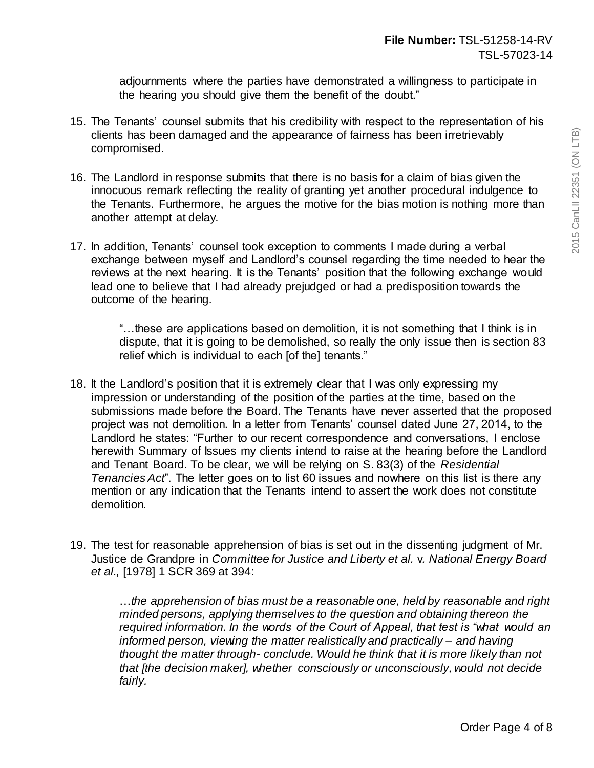adjournments where the parties have demonstrated a willingness to participate in the hearing you should give them the benefit of the doubt."

- 15. The Tenants' counsel submits that his credibility with respect to the representation of his clients has been damaged and the appearance of fairness has been irretrievably compromised.
- 16. The Landlord in response submits that there is no basis for a claim of bias given the innocuous remark reflecting the reality of granting yet another procedural indulgence to the Tenants. Furthermore, he argues the motive for the bias motion is nothing more than another attempt at delay.
- 17. In addition, Tenants' counsel took exception to comments I made during a verbal exchange between myself and Landlord's counsel regarding the time needed to hear the reviews at the next hearing. It is the Tenants' position that the following exchange would lead one to believe that I had already prejudged or had a predisposition towards the outcome of the hearing.

"…these are applications based on demolition, it is not something that I think is in dispute, that it is going to be demolished, so really the only issue then is section 83 relief which is individual to each [of the] tenants."

- 18. It the Landlord's position that it is extremely clear that I was only expressing my impression or understanding of the position of the parties at the time, based on the submissions made before the Board. The Tenants have never asserted that the proposed project was not demolition. In a letter from Tenants' counsel dated June 27, 2014, to the Landlord he states: "Further to our recent correspondence and conversations, I enclose herewith Summary of Issues my clients intend to raise at the hearing before the Landlord and Tenant Board. To be clear, we will be relying on S. 83(3) of the *Residential Tenancies Act*". The letter goes on to list 60 issues and nowhere on this list is there any mention or any indication that the Tenants intend to assert the work does not constitute demolition.
- 19. The test for reasonable apprehension of bias is set out in the dissenting judgment of Mr. Justice de Grandpre in *Committee for Justice and Liberty et al.* v*. National Energy Board et al.,* [1978] 1 SCR 369 at 394:

…*the apprehension of bias must be a reasonable one, held by reasonable and right minded persons, applying themselves to the question and obtaining thereon the required information. In the words of the Court of Appeal, that test is "what would an informed person, viewing the matter realistically and practically – and having thought the matter through- conclude. Would he think that it is more likely than not that [the decision maker], whether consciously or unconsciously, would not decide fairly.*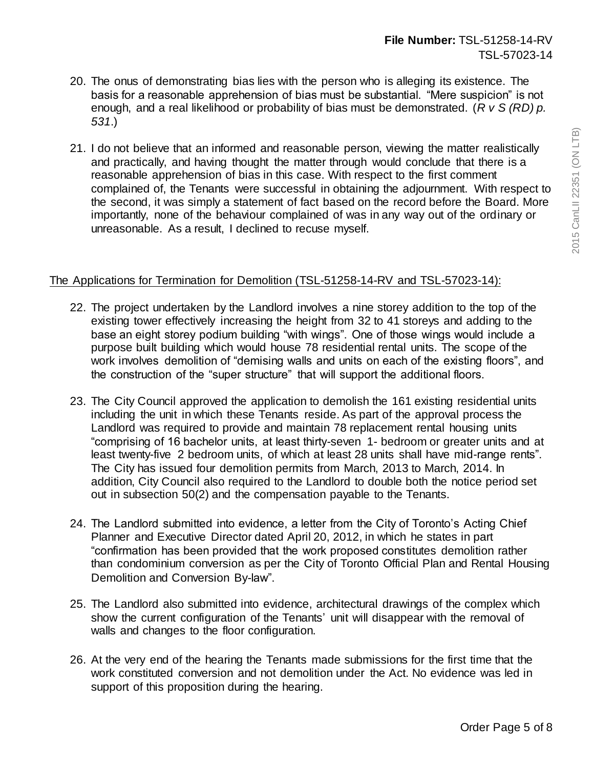- 20. The onus of demonstrating bias lies with the person who is alleging its existence. The basis for a reasonable apprehension of bias must be substantial. "Mere suspicion" is not enough, and a real likelihood or probability of bias must be demonstrated. (*R v S (RD) p. 531*.)
- 21. I do not believe that an informed and reasonable person, viewing the matter realistically and practically, and having thought the matter through would conclude that there is a reasonable apprehension of bias in this case. With respect to the first comment complained of, the Tenants were successful in obtaining the adjournment. With respect to the second, it was simply a statement of fact based on the record before the Board. More importantly, none of the behaviour complained of was in any way out of the ordinary or unreasonable. As a result, I declined to recuse myself.

## The Applications for Termination for Demolition (TSL-51258-14-RV and TSL-57023-14):

- 22. The project undertaken by the Landlord involves a nine storey addition to the top of the existing tower effectively increasing the height from 32 to 41 storeys and adding to the base an eight storey podium building "with wings". One of those wings would include a purpose built building which would house 78 residential rental units. The scope of the work involves demolition of "demising walls and units on each of the existing floors", and the construction of the "super structure" that will support the additional floors.
- 23. The City Council approved the application to demolish the 161 existing residential units including the unit in which these Tenants reside. As part of the approval process the Landlord was required to provide and maintain 78 replacement rental housing units "comprising of 16 bachelor units, at least thirty-seven 1- bedroom or greater units and at least twenty-five 2 bedroom units, of which at least 28 units shall have mid-range rents". The City has issued four demolition permits from March, 2013 to March, 2014. In addition, City Council also required to the Landlord to double both the notice period set out in subsection 50(2) and the compensation payable to the Tenants.
- 24. The Landlord submitted into evidence, a letter from the City of Toronto's Acting Chief Planner and Executive Director dated April 20, 2012, in which he states in part "confirmation has been provided that the work proposed constitutes demolition rather than condominium conversion as per the City of Toronto Official Plan and Rental Housing Demolition and Conversion By-law".
- 25. The Landlord also submitted into evidence, architectural drawings of the complex which show the current configuration of the Tenants' unit will disappear with the removal of walls and changes to the floor configuration.
- 26. At the very end of the hearing the Tenants made submissions for the first time that the work constituted conversion and not demolition under the Act. No evidence was led in support of this proposition during the hearing.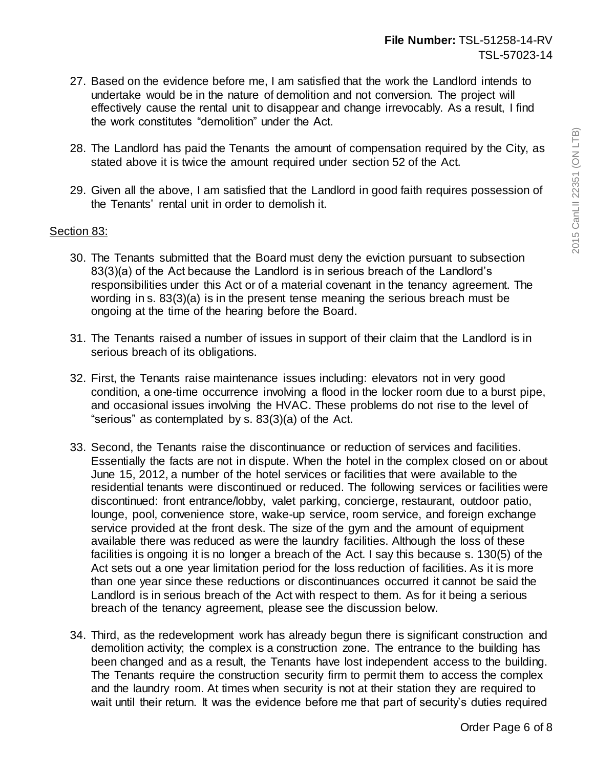- 27. Based on the evidence before me, I am satisfied that the work the Landlord intends to undertake would be in the nature of demolition and not conversion. The project will effectively cause the rental unit to disappear and change irrevocably. As a result, I find the work constitutes "demolition" under the Act.
- 28. The Landlord has paid the Tenants the amount of compensation required by the City, as stated above it is twice the amount required under section 52 of the Act.
- 29. Given all the above, I am satisfied that the Landlord in good faith requires possession of the Tenants' rental unit in order to demolish it.

### Section 83:

- 30. The Tenants submitted that the Board must deny the eviction pursuant to subsection 83(3)(a) of the Act because the Landlord is in serious breach of the Landlord's responsibilities under this Act or of a material covenant in the tenancy agreement. The wording in s. 83(3)(a) is in the present tense meaning the serious breach must be ongoing at the time of the hearing before the Board.
- 31. The Tenants raised a number of issues in support of their claim that the Landlord is in serious breach of its obligations.
- 32. First, the Tenants raise maintenance issues including: elevators not in very good condition, a one-time occurrence involving a flood in the locker room due to a burst pipe, and occasional issues involving the HVAC. These problems do not rise to the level of "serious" as contemplated by s. 83(3)(a) of the Act.
- 33. Second, the Tenants raise the discontinuance or reduction of services and facilities. Essentially the facts are not in dispute. When the hotel in the complex closed on or about June 15, 2012, a number of the hotel services or facilities that were available to the residential tenants were discontinued or reduced. The following services or facilities were discontinued: front entrance/lobby, valet parking, concierge, restaurant, outdoor patio, lounge, pool, convenience store, wake-up service, room service, and foreign exchange service provided at the front desk. The size of the gym and the amount of equipment available there was reduced as were the laundry facilities. Although the loss of these facilities is ongoing it is no longer a breach of the Act. I say this because s. 130(5) of the Act sets out a one year limitation period for the loss reduction of facilities. As it is more than one year since these reductions or discontinuances occurred it cannot be said the Landlord is in serious breach of the Act with respect to them. As for it being a serious breach of the tenancy agreement, please see the discussion below.
- 34. Third, as the redevelopment work has already begun there is significant construction and demolition activity; the complex is a construction zone. The entrance to the building has been changed and as a result, the Tenants have lost independent access to the building. The Tenants require the construction security firm to permit them to access the complex and the laundry room. At times when security is not at their station they are required to wait until their return. It was the evidence before me that part of security's duties required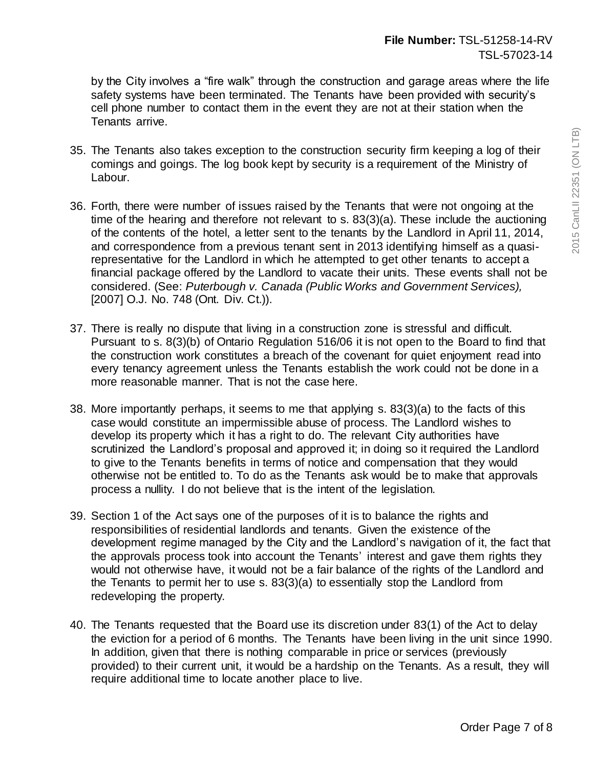by the City involves a "fire walk" through the construction and garage areas where the life safety systems have been terminated. The Tenants have been provided with security's cell phone number to contact them in the event they are not at their station when the Tenants arrive.

- 35. The Tenants also takes exception to the construction security firm keeping a log of their comings and goings. The log book kept by security is a requirement of the Ministry of Labour.
- 36. Forth, there were number of issues raised by the Tenants that were not ongoing at the time of the hearing and therefore not relevant to s. 83(3)(a). These include the auctioning of the contents of the hotel, a letter sent to the tenants by the Landlord in April 11, 2014, and correspondence from a previous tenant sent in 2013 identifying himself as a quasirepresentative for the Landlord in which he attempted to get other tenants to accept a financial package offered by the Landlord to vacate their units. These events shall not be considered. (See: *Puterbough v. Canada (Public Works and Government Services),*  [2007] O.J. No. 748 (Ont. Div. Ct.)).
- 37. There is really no dispute that living in a construction zone is stressful and difficult. Pursuant to s. 8(3)(b) of Ontario Regulation 516/06 it is not open to the Board to find that the construction work constitutes a breach of the covenant for quiet enjoyment read into every tenancy agreement unless the Tenants establish the work could not be done in a more reasonable manner. That is not the case here.
- 38. More importantly perhaps, it seems to me that applying s. 83(3)(a) to the facts of this case would constitute an impermissible abuse of process. The Landlord wishes to develop its property which it has a right to do. The relevant City authorities have scrutinized the Landlord's proposal and approved it; in doing so it required the Landlord to give to the Tenants benefits in terms of notice and compensation that they would otherwise not be entitled to. To do as the Tenants ask would be to make that approvals process a nullity. I do not believe that is the intent of the legislation.
- 39. Section 1 of the Act says one of the purposes of it is to balance the rights and responsibilities of residential landlords and tenants. Given the existence of the development regime managed by the City and the Landlord's navigation of it, the fact that the approvals process took into account the Tenants' interest and gave them rights they would not otherwise have, it would not be a fair balance of the rights of the Landlord and the Tenants to permit her to use s. 83(3)(a) to essentially stop the Landlord from redeveloping the property.
- 40. The Tenants requested that the Board use its discretion under 83(1) of the Act to delay the eviction for a period of 6 months. The Tenants have been living in the unit since 1990. In addition, given that there is nothing comparable in price or services (previously provided) to their current unit, it would be a hardship on the Tenants. As a result, they will require additional time to locate another place to live.